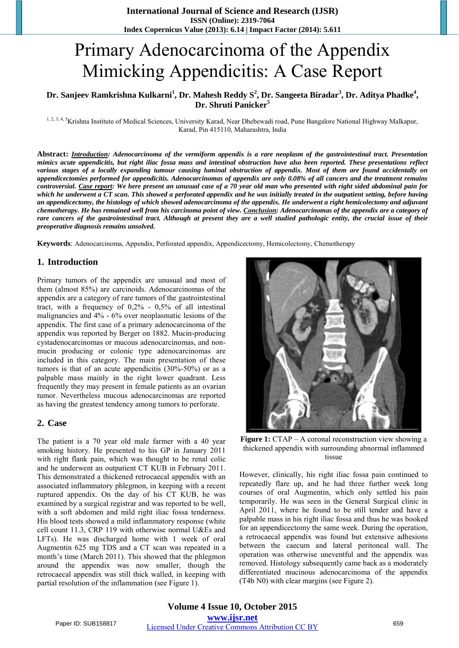# Primary Adenocarcinoma of the Appendix Mimicking Appendicitis: A Case Report

## **Dr. Sanjeev Ramkrishna Kulkarni<sup>1</sup> , Dr. Mahesh Reddy S<sup>2</sup> , Dr. Sangeeta Biradar<sup>3</sup> , Dr. Aditya Phadke<sup>4</sup> , Dr. Shruti Panicker<sup>5</sup>**

1, 2, 3, 4, 5 Krishna Institute of Medical Sciences, University Karad, Near Dhebewadi road, Pune Bangalore National Highway Malkapur, Karad, Pin 415110, Maharashtra, India

**Abstract:** *Introduction: Adenocarcinoma of the vermiform appendix is a rare neoplasm of the gastrointestinal tract. Presentation mimics acute appendicitis, but right iliac fossa mass and intestinal obstruction have also been reported. These presentations reflect various stages of a locally expanding tumour causing luminal obstruction of appendix. Most of them are found accidentally on appendicectomies performed for appendicitis. Adenocarcinomas of appendix are only 0.08% of all cancers and the treatment remains controversial. Case report: We here present an unusual case of a 70 year old man who presented with right sided abdominal pain for which he underwent a CT scan. This showed a perforated appendix and he was initially treated in the outpatient setting, before having an appendicectomy, the histology of which showed adenocarcinoma of the appendix. He underwent a right hemicolectomy and adjuvant chemotherapy. He has remained well from his carcinoma point of view. Conclusion: Adenocarcinomas of the appendix are a category of rare cancers of the gastrointestinal tract. Although at present they are a well studied pathologic entity, the crucial issue of their preoperative diagnosis remains unsolved.*

**Keywords**: Adenocarcinoma, Appendix, Perforated appendix, Appendicectomy, Hemicolectomy, Chemotherapy

## **1. Introduction**

Primary tumors of the appendix are unusual and most of them (almost 85%) are carcinoids. Adenocarcinomas of the appendix are a category of rare tumors of the gastrointestinal tract, with a frequency of 0,2% - 0,5% of all intestinal malignancies and 4% - 6% over neoplasmatic lesions of the appendix. The first case of a primary adenocarcinoma of the appendix was reported by Berger on 1882. Mucin-producing cystadenocarcinomas or mucous adenocarcinomas, and nonmucin producing or colonic type adenocarcinomas are included in this category. The main presentation of these tumors is that of an acute appendicitis (30%-50%) or as a palpable mass mainly in the right lower quadrant. Less frequently they may present in female patients as an ovarian tumor. Nevertheless mucous adenocarcinomas are reported as having the greatest tendency among tumors to perforate.

#### **2. Case**

The patient is a 70 year old male farmer with a 40 year smoking history. He presented to his GP in January 2011 with right flank pain, which was thought to be renal colic and he underwent an outpatient CT KUB in February 2011. This demonstrated a thickened retrocaecal appendix with an associated inflammatory phlegmon, in keeping with a recent ruptured appendix. On the day of his CT KUB, he was examined by a surgical registrar and was reported to be well, with a soft abdomen and mild right iliac fossa tenderness. His blood tests showed a mild inflammatory response (white cell count 11.3, CRP 119 with otherwise normal U&Es and LFTs). He was discharged home with 1 week of oral Augmentin 625 mg TDS and a CT scan was repeated in a month's time (March 2011). This showed that the phlegmon around the appendix was now smaller, though the retrocaecal appendix was still thick walled, in keeping with partial resolution of the inflammation (see Figure 1).



**Figure 1:** CTAP – A coronal reconstruction view showing a thickened appendix with surrounding abnormal inflammed tissue

However, clinically, his right iliac fossa pain continued to repeatedly flare up, and he had three further week long courses of oral Augmentin, which only settled his pain temporarily. He was seen in the General Surgical clinic in April 2011, where he found to be still tender and have a palpable mass in his right iliac fossa and thus he was booked for an appendicectomy the same week. During the operation, a retrocaecal appendix was found but extensive adhesions between the caecum and lateral peritoneal wall. The operation was otherwise uneventful and the appendix was removed. Histology subsequently came back as a moderately differentiated mucinous adenocarcinoma of the appendix (T4b N0) with clear margins (see Figure 2).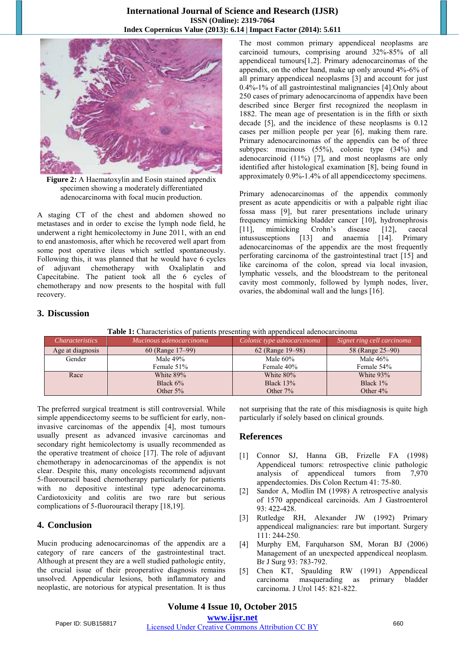#### **International Journal of Science and Research (IJSR) ISSN (Online): 2319-7064 Index Copernicus Value (2013): 6.14 | Impact Factor (2014): 5.611**



**Figure 2:** A Haematoxylin and Eosin stained appendix specimen showing a moderately differentiated adenocarcinoma with focal mucin production.

A staging CT of the chest and abdomen showed no metastases and in order to excise the lymph node field, he underwent a right hemicolectomy in June 2011, with an end to end anastomosis, after which he recovered well apart from some post operative ileus which settled spontaneously. Following this, it was planned that he would have 6 cycles of adjuvant chemotherapy with Oxaliplatin and Capecitabine. The patient took all the 6 cycles of chemotherapy and now presents to the hospital with full recovery.

The most common primary appendiceal neoplasms are carcinoid tumours, comprising around 32%-85% of all appendiceal tumours[1,2]. Primary adenocarcinomas of the appendix, on the other hand, make up only around 4%-6% of all primary appendiceal neoplasms [3] and account for just 0.4%-1% of all gastrointestinal malignancies [4].Only about 250 cases of primary adenocarcinoma of appendix have been described since Berger first recognized the neoplasm in 1882. The mean age of presentation is in the fifth or sixth decade [5], and the incidence of these neoplasms is 0.12 cases per million people per year [6], making them rare. Primary adenocarcinomas of the appendix can be of three subtypes: mucinous (55%), colonic type (34%) and adenocarcinoid (11%) [7], and most neoplasms are only identified after histological examination [8], being found in approximately 0.9%-1.4% of all appendicectomy specimens.

Primary adenocarcinomas of the appendix commonly present as acute appendicitis or with a palpable right iliac fossa mass [9], but rarer presentations include urinary frequency mimicking bladder cancer [10], hydronephrosis [11], mimicking Crohn's disease [12], caecal intussusceptions [13] and anaemia [14]. Primary adenocarcinomas of the appendix are the most frequently perforating carcinoma of the gastrointestinal tract [15] and like carcinoma of the colon, spread via local invasion, lymphatic vessels, and the bloodstream to the peritoneal cavity most commonly, followed by lymph nodes, liver, ovaries, the abdominal wall and the lungs [16].

## **3. Discussion**

| <i>Characteristics</i> | Mucinous adenocarcinoma | Colonic type adnocarcinoma | Signet ring cell carcinoma |
|------------------------|-------------------------|----------------------------|----------------------------|
| Age at diagnosis       | $60$ (Range 17–99)      | 62 (Range 19–98)           | 58 (Range 25–90)           |
| Gender                 | Male 49%                | Male $60\%$                | Male $46\%$                |
|                        | Female 51%              | Female 40%                 | Female 54%                 |
| Race                   | White 89%               | White 80%                  | White $93\%$               |
|                        | Black $6\%$             | Black $13\%$               | Black $1\%$                |
|                        | Other $5\%$             | Other $7\%$                | Other $4\%$                |

**Table 1:** Characteristics of patients presenting with appendiceal adenocarcinoma

The preferred surgical treatment is still controversial. While simple appendicectomy seems to be sufficient for early, noninvasive carcinomas of the appendix [4], most tumours usually present as advanced invasive carcinomas and secondary right hemicolectomy is usually recommended as the operative treatment of choice [17]. The role of adjuvant chemotherapy in adenocarcinomas of the appendix is not clear. Despite this, many oncologists recommend adjuvant 5-fluorouracil based chemotherapy particularly for patients with no depositive intestinal type adenocarcinoma. Cardiotoxicity and colitis are two rare but serious complications of 5-fluorouracil therapy [18,19].

# **4. Conclusion**

Mucin producing adenocarcinomas of the appendix are a category of rare cancers of the gastrointestinal tract. Although at present they are a well studied pathologic entity, the crucial issue of their preoperative diagnosis remains unsolved. Appendicular lesions, both inflammatory and neoplastic, are notorious for atypical presentation. It is thus

not surprising that the rate of this misdiagnosis is quite high particularly if solely based on clinical grounds.

## **References**

- [1] Connor SJ, Hanna GB, Frizelle FA (1998) Appendiceal tumors: retrospective clinic pathologic analysis of appendiceal tumors from 7,970 appendectomies. Dis Colon Rectum 41: 75-80.
- [2] Sandor A, Modlin IM (1998) A retrospective analysis of 1570 appendiceal carcinoids. Am J Gastroenterol 93: 422-428.
- [3] Rutledge RH, Alexander JW (1992) Primary appendiceal malignancies: rare but important. Surgery 111: 244-250.
- [4] Murphy EM, Farquharson SM, Moran BJ (2006) Management of an unexpected appendiceal neoplasm. Br J Surg 93: 783-792.
- [5] Chen KT, Spaulding RW (1991) Appendiceal carcinoma masquerading as primary bladder carcinoma. J Urol 145: 821-822.